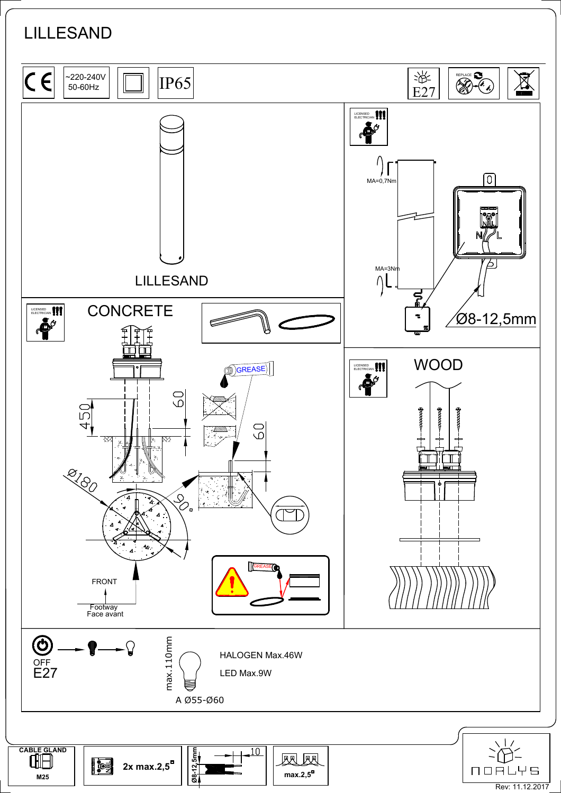## LILLESAND